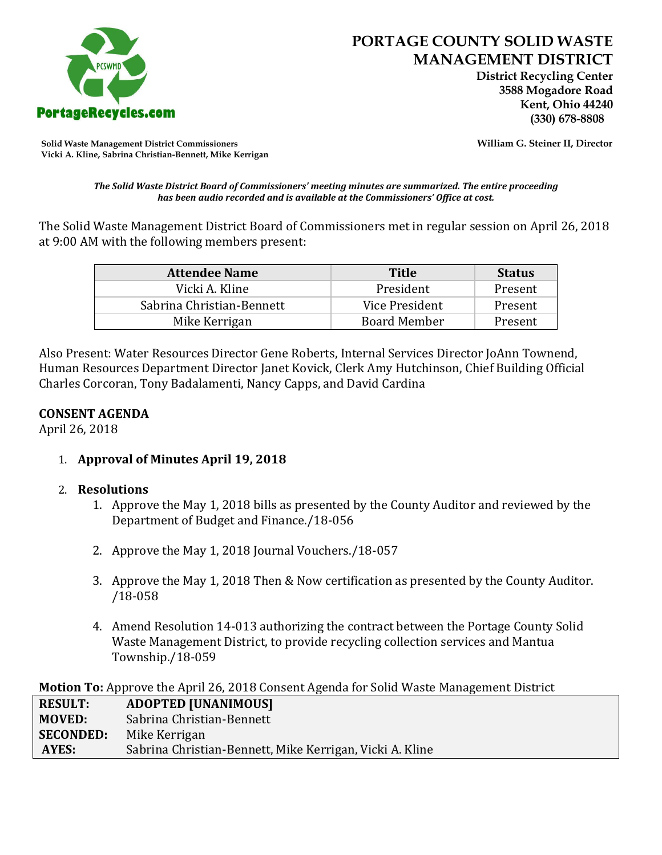

 **District Recycling Center 3588 Mogadore Road Kent, Ohio 44240**

**Solid Waste Management District Commissioners William G. Steiner II, Director Vicki A. Kline, Sabrina Christian-Bennett, Mike Kerrigan** 

#### *The Solid Waste District Board of Commissioners' meeting minutes are summarized. The entire proceeding has been audio recorded and is available at the Commissioners' Office at cost.*

The Solid Waste Management District Board of Commissioners met in regular session on April 26, 2018 at 9:00 AM with the following members present:

| <b>Attendee Name</b>      | <b>Title</b>        | <b>Status</b> |
|---------------------------|---------------------|---------------|
| Vicki A. Kline            | President           | Present       |
| Sabrina Christian-Bennett | Vice President      | Present       |
| Mike Kerrigan             | <b>Board Member</b> | Present       |

Also Present: Water Resources Director Gene Roberts, Internal Services Director JoAnn Townend, Human Resources Department Director Janet Kovick, Clerk Amy Hutchinson, Chief Building Official Charles Corcoran, Tony Badalamenti, Nancy Capps, and David Cardina

## **CONSENT AGENDA**

April 26, 2018

1. **Approval of Minutes April 19, 2018**

# 2. **Resolutions**

- 1. Approve the May 1, 2018 bills as presented by the County Auditor and reviewed by the Department of Budget and Finance./18-056
- 2. Approve the May 1, 2018 Journal Vouchers./18-057
- 3. Approve the May 1, 2018 Then & Now certification as presented by the County Auditor. /18-058
- 4. Amend Resolution 14-013 authorizing the contract between the Portage County Solid Waste Management District, to provide recycling collection services and Mantua Township./18-059

**Motion To:** Approve the April 26, 2018 Consent Agenda for Solid Waste Management District

| <b>RESULT:</b>   | <b>ADOPTED [UNANIMOUS]</b>                               |
|------------------|----------------------------------------------------------|
| MOVED:           | Sabrina Christian-Bennett                                |
| <b>SECONDED:</b> | Mike Kerrigan                                            |
| AYES:            | Sabrina Christian-Bennett, Mike Kerrigan, Vicki A. Kline |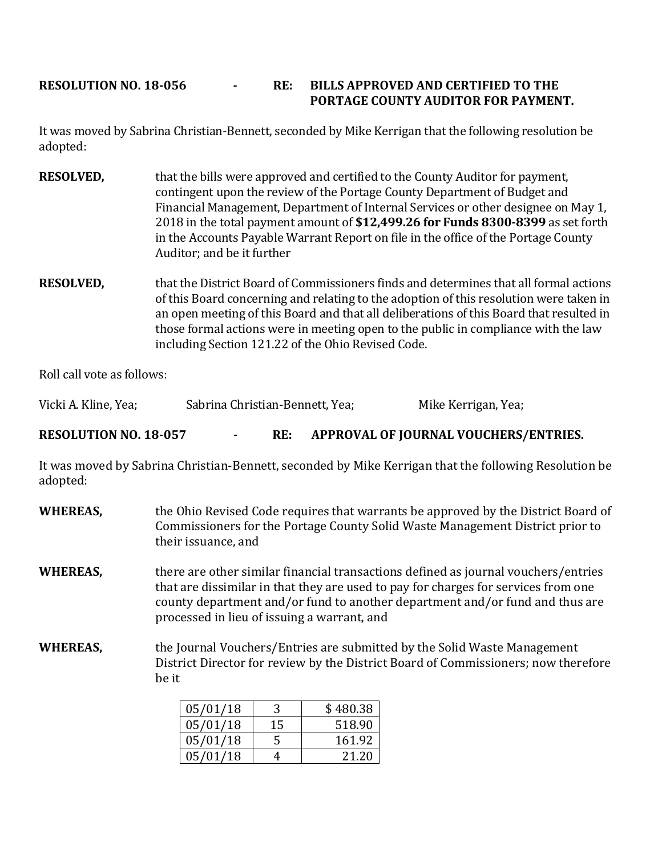# **RESOLUTION NO. 18-056 - RE: BILLS APPROVED AND CERTIFIED TO THE PORTAGE COUNTY AUDITOR FOR PAYMENT.**

It was moved by Sabrina Christian-Bennett, seconded by Mike Kerrigan that the following resolution be adopted:

- **RESOLVED,** that the bills were approved and certified to the County Auditor for payment, contingent upon the review of the Portage County Department of Budget and Financial Management, Department of Internal Services or other designee on May 1, 2018 in the total payment amount of **\$12,499.26 for Funds 8300-8399** as set forth in the Accounts Payable Warrant Report on file in the office of the Portage County Auditor; and be it further
- **RESOLVED,** that the District Board of Commissioners finds and determines that all formal actions of this Board concerning and relating to the adoption of this resolution were taken in an open meeting of this Board and that all deliberations of this Board that resulted in those formal actions were in meeting open to the public in compliance with the law including Section 121.22 of the Ohio Revised Code.

Roll call vote as follows:

Vicki A. Kline, Yea; Sabrina Christian-Bennett, Yea; Mike Kerrigan, Yea;

**RESOLUTION NO. 18-057 - RE: APPROVAL OF JOURNAL VOUCHERS/ENTRIES.**

It was moved by Sabrina Christian-Bennett, seconded by Mike Kerrigan that the following Resolution be adopted:

**WHEREAS,** the Ohio Revised Code requires that warrants be approved by the District Board of Commissioners for the Portage County Solid Waste Management District prior to their issuance, and **WHEREAS,** there are other similar financial transactions defined as journal vouchers/entries that are dissimilar in that they are used to pay for charges for services from one county department and/or fund to another department and/or fund and thus are processed in lieu of issuing a warrant, and **WHEREAS,** the Journal Vouchers/Entries are submitted by the Solid Waste Management District Director for review by the District Board of Commissioners; now therefore be it

| 05/01/18 |    | \$480.38 |
|----------|----|----------|
| 05/01/18 | 15 | 518.90   |
| 05/01/18 |    | 161.92   |
| 05/01/18 |    | 21 20    |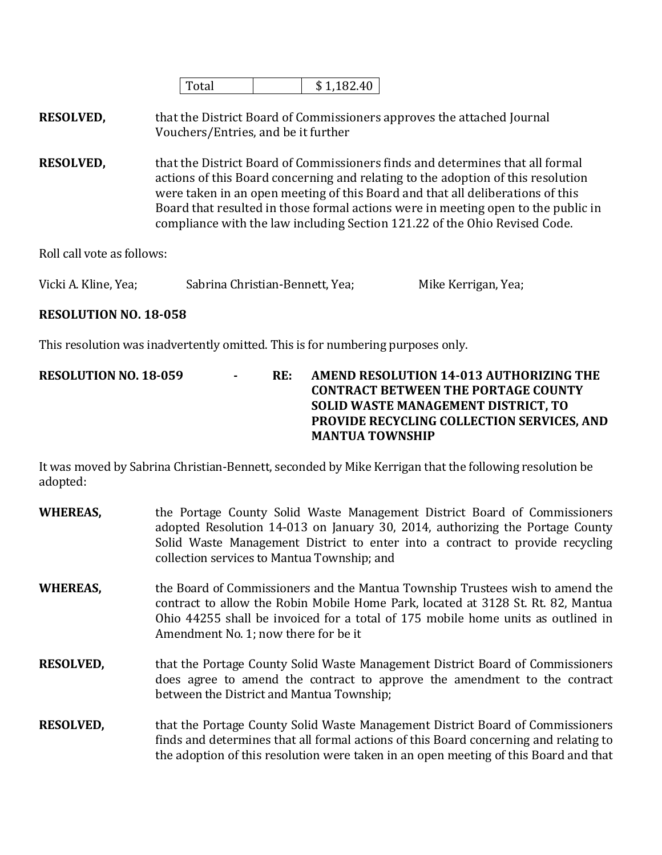|  |  |  | 1 O<br>ħ<br>U<br>٠Ш |
|--|--|--|---------------------|
|--|--|--|---------------------|

**RESOLVED,** that the District Board of Commissioners approves the attached Journal Vouchers/Entries, and be it further

**RESOLVED,** that the District Board of Commissioners finds and determines that all formal actions of this Board concerning and relating to the adoption of this resolution were taken in an open meeting of this Board and that all deliberations of this Board that resulted in those formal actions were in meeting open to the public in compliance with the law including Section 121.22 of the Ohio Revised Code.

Roll call vote as follows:

| Vicki A. Kline, Yea; | Sabrina Christian-Bennett, Yea; | Mike Kerrigan, Yea; |
|----------------------|---------------------------------|---------------------|
|----------------------|---------------------------------|---------------------|

## **RESOLUTION NO. 18-058**

This resolution was inadvertently omitted. This is for numbering purposes only.

**RESOLUTION NO. 18-059 - RE: AMEND RESOLUTION 14-013 AUTHORIZING THE CONTRACT BETWEEN THE PORTAGE COUNTY SOLID WASTE MANAGEMENT DISTRICT, TO PROVIDE RECYCLING COLLECTION SERVICES, AND MANTUA TOWNSHIP**

It was moved by Sabrina Christian-Bennett, seconded by Mike Kerrigan that the following resolution be adopted:

| <b>WHEREAS,</b>  | the Portage County Solid Waste Management District Board of Commissioners<br>adopted Resolution 14-013 on January 30, 2014, authorizing the Portage County<br>Solid Waste Management District to enter into a contract to provide recycling<br>collection services to Mantua Township; and    |
|------------------|-----------------------------------------------------------------------------------------------------------------------------------------------------------------------------------------------------------------------------------------------------------------------------------------------|
| <b>WHEREAS,</b>  | the Board of Commissioners and the Mantua Township Trustees wish to amend the<br>contract to allow the Robin Mobile Home Park, located at 3128 St. Rt. 82, Mantua<br>Ohio 44255 shall be invoiced for a total of 175 mobile home units as outlined in<br>Amendment No. 1; now there for be it |
| <b>RESOLVED,</b> | that the Portage County Solid Waste Management District Board of Commissioners<br>does agree to amend the contract to approve the amendment to the contract<br>between the District and Mantua Township;                                                                                      |
| <b>RESOLVED,</b> | that the Portage County Solid Waste Management District Board of Commissioners<br>finds and determines that all formal actions of this Board concerning and relating to<br>the adoption of this resolution were taken in an open meeting of this Board and that                               |